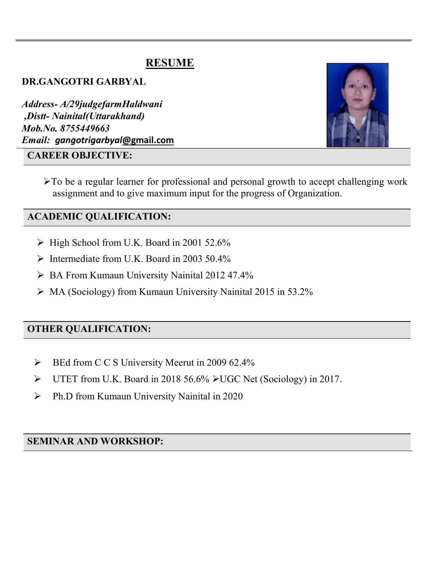# RESUME

DR.GANGOTRI GARBYAL

Address- A/29judgefarmHaldwani ,Distt- Nainital(Uttarakhand) Mob.No. 8755449663 Email: gangotrigarbyal@gmail.com

#### CAREER OBJECTIVE:



>To be a regular learner for professional and personal growth to accept challenging work assignment and to give maximum input for the progress of Organization.

## ACADEMIC QUALIFICATION:

- $\triangleright$  High School from U.K. Board in 2001 52.6%
- $\triangleright$  Intermediate from U.K. Board in 2003 50.4%
- BA From Kumaun University Nainital 2012 47.4%
- $\triangleright$  MA (Sociology) from Kumaun University Nainital 2015 in 53.2%

## OTHER QUALIFICATION:

- BEd from C C S University Meerut in 2009 62.4%
- $\triangleright$  UTET from U.K. Board in 2018 56.6%  $\triangleright$  UGC Net (Sociology) in 2017.
- Ph.D from Kumaun University Nainital in 2020

## SEMINAR AND WORKSHOP: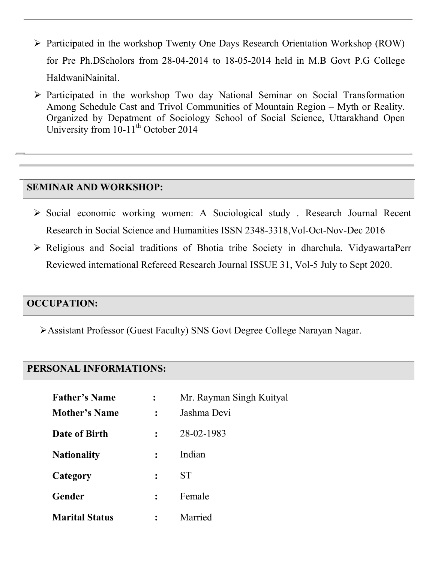- $\triangleright$  Participated in the workshop Twenty One Days Research Orientation Workshop (ROW) for Pre Ph.DScholors from 28-04-2014 to 18-05-2014 held in M.B Govt P.G College HaldwaniNainital.
- $\triangleright$  Participated in the workshop Two day National Seminar on Social Transformation Among Schedule Cast and Trivol Communities of Mountain Region – Myth or Reality. Organized by Depatment of Sociology School of Social Science, Uttarakhand Open University from  $10-11$ <sup>th</sup> October 2014

#### SEMINAR AND WORKSHOP:

- Social economic working women: A Sociological study . Research Journal Recent Research in Social Science and Humanities ISSN 2348-3318,Vol-Oct-Nov-Dec 2016
- Religious and Social traditions of Bhotia tribe Society in dharchula. VidyawartaPerr Reviewed international Refereed Research Journal ISSUE 31, Vol-5 July to Sept 2020.

## OCCUPATION:

Assistant Professor (Guest Faculty) SNS Govt Degree College Narayan Nagar.

#### PERSONAL INFORMATIONS:

| <b>Father's Name</b>  |                | Mr. Rayman Singh Kuityal |
|-----------------------|----------------|--------------------------|
| <b>Mother's Name</b>  |                | Jashma Devi              |
| Date of Birth         | $\ddot{\cdot}$ | 28-02-1983               |
| <b>Nationality</b>    | $\ddot{\cdot}$ | Indian                   |
| Category              | $\ddot{\cdot}$ | <b>ST</b>                |
| Gender                |                | Female                   |
| <b>Marital Status</b> |                | Married                  |